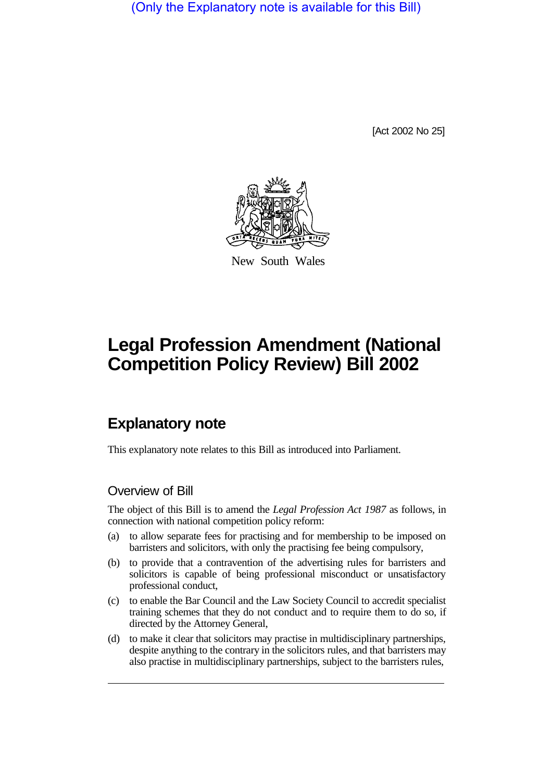(Only the Explanatory note is available for this Bill)

[Act 2002 No 25]



New South Wales

# **Legal Profession Amendment (National Competition Policy Review) Bill 2002**

# **Explanatory note**

This explanatory note relates to this Bill as introduced into Parliament.

### Overview of Bill

The object of this Bill is to amend the *Legal Profession Act 1987* as follows, in connection with national competition policy reform:

- (a) to allow separate fees for practising and for membership to be imposed on barristers and solicitors, with only the practising fee being compulsory,
- (b) to provide that a contravention of the advertising rules for barristers and solicitors is capable of being professional misconduct or unsatisfactory professional conduct,
- (c) to enable the Bar Council and the Law Society Council to accredit specialist training schemes that they do not conduct and to require them to do so, if directed by the Attorney General,
- (d) to make it clear that solicitors may practise in multidisciplinary partnerships, despite anything to the contrary in the solicitors rules, and that barristers may also practise in multidisciplinary partnerships, subject to the barristers rules,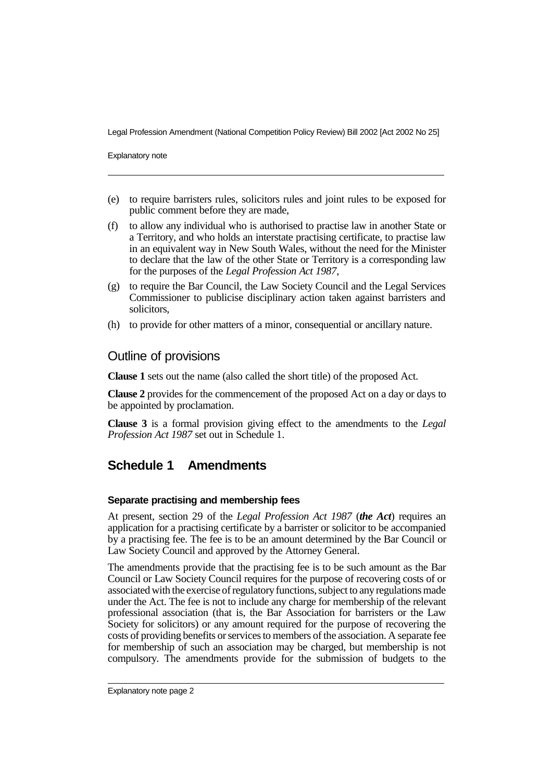Legal Profession Amendment (National Competition Policy Review) Bill 2002 [Act 2002 No 25]

Explanatory note

- (e) to require barristers rules, solicitors rules and joint rules to be exposed for public comment before they are made,
- (f) to allow any individual who is authorised to practise law in another State or a Territory, and who holds an interstate practising certificate, to practise law in an equivalent way in New South Wales, without the need for the Minister to declare that the law of the other State or Territory is a corresponding law for the purposes of the *Legal Profession Act 1987*,
- (g) to require the Bar Council, the Law Society Council and the Legal Services Commissioner to publicise disciplinary action taken against barristers and solicitors,
- (h) to provide for other matters of a minor, consequential or ancillary nature.

### Outline of provisions

**Clause 1** sets out the name (also called the short title) of the proposed Act.

**Clause 2** provides for the commencement of the proposed Act on a day or days to be appointed by proclamation.

**Clause 3** is a formal provision giving effect to the amendments to the *Legal Profession Act 1987* set out in Schedule 1.

## **Schedule 1 Amendments**

#### **Separate practising and membership fees**

At present, section 29 of the *Legal Profession Act 1987* (*the Act*) requires an application for a practising certificate by a barrister or solicitor to be accompanied by a practising fee. The fee is to be an amount determined by the Bar Council or Law Society Council and approved by the Attorney General.

The amendments provide that the practising fee is to be such amount as the Bar Council or Law Society Council requires for the purpose of recovering costs of or associated with the exercise of regulatoryfunctions, subject to anyregulations made under the Act. The fee is not to include any charge for membership of the relevant professional association (that is, the Bar Association for barristers or the Law Society for solicitors) or any amount required for the purpose of recovering the costs of providing benefits or services to members of the association. A separate fee for membership of such an association may be charged, but membership is not compulsory. The amendments provide for the submission of budgets to the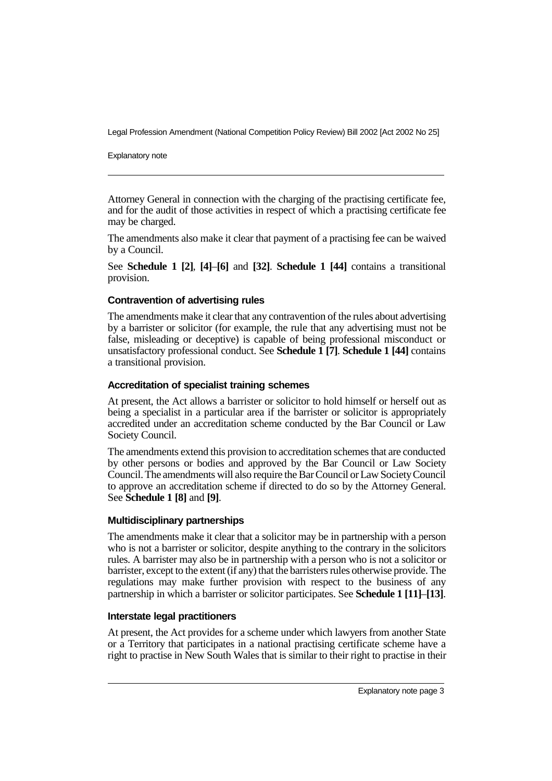Legal Profession Amendment (National Competition Policy Review) Bill 2002 [Act 2002 No 25]

Explanatory note

Attorney General in connection with the charging of the practising certificate fee, and for the audit of those activities in respect of which a practising certificate fee may be charged.

The amendments also make it clear that payment of a practising fee can be waived by a Council.

See **Schedule 1 [2]**, **[4]**–**[6]** and **[32]**. **Schedule 1 [44]** contains a transitional provision.

#### **Contravention of advertising rules**

The amendments make it clear that any contravention of the rules about advertising by a barrister or solicitor (for example, the rule that any advertising must not be false, misleading or deceptive) is capable of being professional misconduct or unsatisfactory professional conduct. See **Schedule 1 [7]**. **Schedule 1 [44]** contains a transitional provision.

#### **Accreditation of specialist training schemes**

At present, the Act allows a barrister or solicitor to hold himself or herself out as being a specialist in a particular area if the barrister or solicitor is appropriately accredited under an accreditation scheme conducted by the Bar Council or Law Society Council.

The amendments extend this provision to accreditation schemes that are conducted by other persons or bodies and approved by the Bar Council or Law Society Council. The amendments will also require the Bar Council or Law SocietyCouncil to approve an accreditation scheme if directed to do so by the Attorney General. See **Schedule 1 [8]** and **[9]**.

#### **Multidisciplinary partnerships**

The amendments make it clear that a solicitor may be in partnership with a person who is not a barrister or solicitor, despite anything to the contrary in the solicitors rules. A barrister may also be in partnership with a person who is not a solicitor or barrister, except to the extent (if any) that the barristers rules otherwise provide. The regulations may make further provision with respect to the business of any partnership in which a barrister or solicitor participates. See **Schedule 1 [11]**–**[13]**.

#### **Interstate legal practitioners**

At present, the Act provides for a scheme under which lawyers from another State or a Territory that participates in a national practising certificate scheme have a right to practise in New South Wales that is similar to their right to practise in their